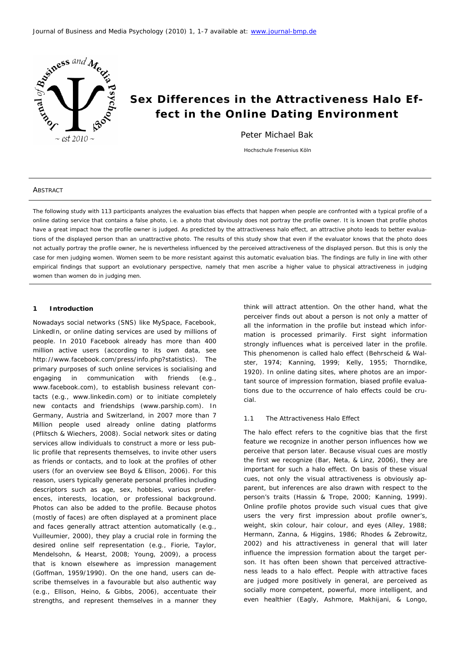

# **Sex Differences in the Attractiveness Halo Effect in the Online Dating Environment**

Peter Michael Bak

Hochschule Fresenius Köln

#### **ABSTRACT**

The following study with 113 participants analyzes the evaluation bias effects that happen when people are confronted with a typical profile of a online dating service that contains a false photo, i.e. a photo that obviously does not portray the profile owner. It is known that profile photos have a great impact how the profile owner is judged. As predicted by the attractiveness halo effect, an attractive photo leads to better evaluations of the displayed person than an unattractive photo. The results of this study show that even if the evaluator knows that the photo does not actually portray the profile owner, he is nevertheless influenced by the perceived attractiveness of the displayed person. But this is only the case for men judging women. Women seem to be more resistant against this automatic evaluation bias. The findings are fully in line with other empirical findings that support an evolutionary perspective, namely that men ascribe a higher value to physical attractiveness in judging women than women do in judging men.

## **1 Introduction**

Nowadays social networks (SNS) like MySpace, Facebook, LinkedIn, or online dating services are used by millions of people. In 2010 Facebook already has more than 400 million active users (according to its own data, see http://www.facebook.com/press/info.php?statistics). The primary purposes of such online services is socialising and engaging in communication with friends (e.g., www.facebook.com), to establish business relevant contacts (e.g., www.linkedin.com) or to initiate completely new contacts and friendships (www.parship.com). In Germany, Austria and Switzerland, in 2007 more than 7 Million people used already online dating platforms (Pflitsch & Wiechers, 2008). Social network sites or dating services allow individuals to construct a more or less public profile that represents themselves, to invite other users as friends or contacts, and to look at the profiles of other users (for an overview see Boyd & Ellison, 2006). For this reason, users typically generate personal profiles including descriptors such as age, sex, hobbies, various preferences, interests, location, or professional background. Photos can also be added to the profile. Because photos (mostly of faces) are often displayed at a prominent place and faces generally attract attention automatically (e.g., Vuilleumier, 2000), they play a crucial role in forming the desired online self representation (e.g., Fiorie, Taylor, Mendelsohn, & Hearst, 2008; Young, 2009), a process that is known elsewhere as impression management (Goffman, 1959/1990). On the one hand, users can describe themselves in a favourable but also authentic way (e.g., Ellison, Heino, & Gibbs, 2006), accentuate their strengths, and represent themselves in a manner they

think will attract attention. On the other hand, what the perceiver finds out about a person is not only a matter of all the information in the profile but instead which information is processed primarily. First sight information strongly influences what is perceived later in the profile. This phenomenon is called halo effect (Behrscheid & Walster, 1974; Kanning, 1999; Kelly, 1955; Thorndike, 1920). In online dating sites, where photos are an important source of impression formation, biased profile evaluations due to the occurrence of halo effects could be crucial.

# 1.1 The Attractiveness Halo Effect

The halo effect refers to the cognitive bias that the first feature we recognize in another person influences how we perceive that person later. Because visual cues are mostly the first we recognize (Bar, Neta, & Linz, 2006), they are important for such a halo effect. On basis of these visual cues, not only the visual attractiveness is obviously apparent, but inferences are also drawn with respect to the person's traits (Hassin & Trope, 2000; Kanning, 1999). Online profile photos provide such visual cues that give users the very first impression about profile owner's, weight, skin colour, hair colour, and eyes (Alley, 1988; Hermann, Zanna, & Higgins, 1986; Rhodes & Zebrowitz, 2002) and his attractiveness in general that will later influence the impression formation about the target person. It has often been shown that perceived attractiveness leads to a halo effect. People with attractive faces are judged more positively in general, are perceived as socially more competent, powerful, more intelligent, and even healthier (Eagly, Ashmore, Makhijani, & Longo,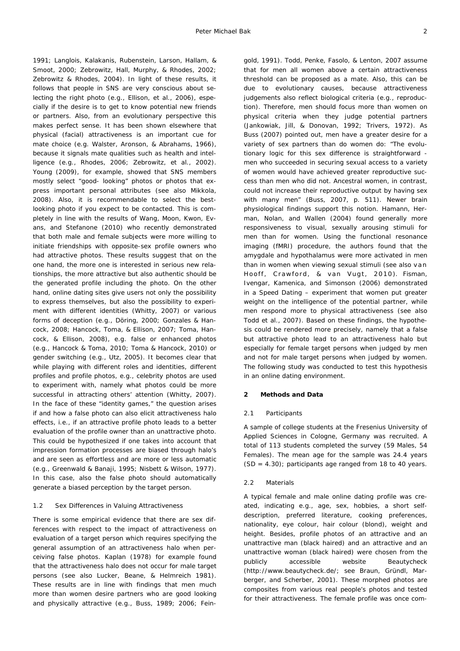1991; Langlois, Kalakanis, Rubenstein, Larson, Hallam, & Smoot, 2000; Zebrowitz, Hall, Murphy, & Rhodes, 2002; Zebrowitz & Rhodes, 2004). In light of these results, it follows that people in SNS are very conscious about selecting the right photo (e.g., Ellison, et al., 2006), especially if the desire is to get to know potential new friends or partners. Also, from an evolutionary perspective this makes perfect sense. It has been shown elsewhere that physical (facial) attractiveness is an important cue for mate choice (e.g. Walster, Aronson, & Abrahams, 1966), because it signals mate qualities such as health and intelligence (e.g., Rhodes, 2006; Zebrowitz, et al., 2002). Young (2009), for example, showed that SNS members mostly select "good- looking" photos or photos that express important personal attributes (see also Mikkola, 2008). Also, it is recommendable to select the bestlooking photo if you expect to be contacted. This is completely in line with the results of Wang, Moon, Kwon, Evans, and Stefanone (2010) who recently demonstrated that both male and female subjects were more willing to initiate friendships with opposite-sex profile owners who had attractive photos. These results suggest that on the one hand, the more one is interested in serious new relationships, the more attractive but also authentic should be the generated profile including the photo. On the other hand, online dating sites give users not only the possibility to express themselves, but also the possibility to experiment with different identities (Whitty, 2007) or various forms of deception (e.g., Döring, 2000; Gonzales & Hancock, 2008; Hancock, Toma, & Ellison, 2007; Toma, Hancock, & Ellison, 2008), e.g. false or enhanced photos (e.g., Hancock & Toma, 2010; Toma & Hancock, 2010) or gender switching (e.g., Utz, 2005). It becomes clear that while playing with different roles and identities, different profiles and profile photos, e.g., celebrity photos are used to experiment with, namely what photos could be more successful in attracting others' attention (Whitty, 2007). In the face of these "identity games," the question arises if and how a false photo can also elicit attractiveness halo effects, i.e., if an attractive profile photo leads to a better evaluation of the profile owner than an unattractive photo. This could be hypothesized if one takes into account that impression formation processes are biased through halo's and are seen as effortless and are more or less automatic (e.g., Greenwald & Banaji, 1995; Nisbett & Wilson, 1977). In this case, also the false photo should automatically generate a biased perception by the target person.

# 1.2 Sex Differences in Valuing Attractiveness

There is some empirical evidence that there are sex differences with respect to the impact of attractiveness on evaluation of a target person which requires specifying the general assumption of an attractiveness halo when perceiving false photos. Kaplan (1978) for example found that the attractiveness halo does not occur for male target persons (see also Lucker, Beane, & Helmreich 1981). These results are in line with findings that men much more than women desire partners who are good looking and physically attractive (e.g., Buss, 1989; 2006; Fein-

gold, 1991). Todd, Penke, Fasolo, & Lenton, 2007 assume that for men all women above a certain attractiveness threshold can be proposed as a mate. Also, this can be due to evolutionary causes, because attractiveness judgements also reflect biological criteria (e.g., reproduction). Therefore, men should focus more than women on physical criteria when they judge potential partners (Jankowiak, Jill, & Donovan, 1992; Trivers, 1972). As Buss (2007) pointed out, men have a greater desire for a variety of sex partners than do women do: "The evolutionary logic for this sex difference is straightforward men who succeeded in securing sexual access to a variety of women would have achieved greater reproductive success than men who did not. Ancestral women, in contrast, could not increase their reproductive output by having sex with many men" (Buss, 2007, p. 511). Newer brain physiological findings support this notion. Hamann, Herman, Nolan, and Wallen (2004) found generally more responsiveness to visual, sexually arousing stimuli for men than for women. Using the functional resonance imaging (fMRI) procedure, the authors found that the amygdale and hypothalamus were more activated in men than in women when viewing sexual stimuli (see also van Hooff, Crawford, & van Vugt, 2010). Fisman, Ivengar, Kamenica, and Simonson (2006) demonstrated in a Speed Dating – experiment that women put greater weight on the intelligence of the potential partner, while men respond more to physical attractiveness (see also Todd et al., 2007). Based on these findings, the hypothesis could be rendered more precisely, namely that a false but attractive photo lead to an attractiveness halo but especially for female target persons when judged by men and not for male target persons when judged by women. The following study was conducted to test this hypothesis in an online dating environment.

# **2 Methods and Data**

#### 2.1 Participants

A sample of college students at the Fresenius University of Applied Sciences in Cologne, Germany was recruited. A total of 113 students completed the survey (59 Males, 54 Females). The mean age for the sample was 24.4 years (*SD* = 4.30); participants age ranged from 18 to 40 years.

#### 2.2 Materials

A typical female and male online dating profile was created, indicating e.g., age, sex, hobbies, a short selfdescription, preferred literature, cooking preferences, nationality, eye colour, hair colour (blond), weight and height. Besides, profile photos of an attractive and an unattractive man (black haired) and an attractive and an unattractive woman (black haired) were chosen from the publicly accessible website Beautycheck (http://www.beautycheck.de/; see Braun, Gründl, Marberger, and Scherber, 2001). These morphed photos are composites from various real people's photos and tested for their attractiveness. The female profile was once com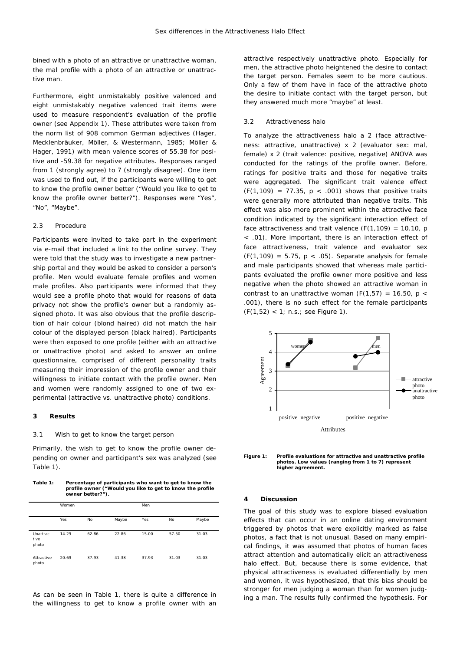bined with a photo of an attractive or unattractive woman, the mal profile with a photo of an attractive or unattractive man.

Furthermore, eight unmistakably positive valenced and eight unmistakably negative valenced trait items were used to measure respondent's evaluation of the profile owner (see Appendix 1). These attributes were taken from the norm list of 908 common German adjectives (Hager, Mecklenbräuker, Möller, & Westermann, 1985; Möller & Hager, 1991) with mean valence scores of 55.38 for positive and -59.38 for negative attributes. Responses ranged from 1 (strongly agree) to 7 (strongly disagree). One item was used to find out, if the participants were willing to get to know the profile owner better ("Would you like to get to know the profile owner better?"). Responses were "Yes", "No", "Maybe".

#### 2.3 Procedure

Participants were invited to take part in the experiment via e-mail that included a link to the online survey. They were told that the study was to investigate a new partnership portal and they would be asked to consider a person's profile. Men would evaluate female profiles and women male profiles. Also participants were informed that they would see a profile photo that would for reasons of data privacy not show the profile's owner but a randomly assigned photo. It was also obvious that the profile description of hair colour (blond haired) did not match the hair colour of the displayed person (black haired). Participants were then exposed to one profile (either with an attractive or unattractive photo) and asked to answer an online questionnaire, comprised of different personality traits measuring their impression of the profile owner and their willingness to initiate contact with the profile owner. Men and women were randomly assigned to one of two experimental (attractive vs. unattractive photo) conditions.

## **3 Results**

#### 3.1 Wish to get to know the target person

Primarily, the wish to get to know the profile owner depending on owner and participant's sex was analyzed (see Table 1).

**Table 1: Percentage of participants who want to get to know the profile owner ("Would you like to get to know the profile owner better?").** 

|                            | Women |       |       | Men   |       |       |
|----------------------------|-------|-------|-------|-------|-------|-------|
|                            | Yes   | No    | Maybe | Yes   | No    | Maybe |
| Unattrac-<br>tive<br>photo | 14.29 | 62.86 | 22.86 | 15.00 | 57.50 | 31.03 |
| Attractive<br>photo        | 20.69 | 37.93 | 41.38 | 37.93 | 31.03 | 31.03 |

As can be seen in Table 1, there is quite a difference in the willingness to get to know a profile owner with an attractive respectively unattractive photo. Especially for men, the attractive photo heightened the desire to contact the target person. Females seem to be more cautious. Only a few of them have in face of the attractive photo the desire to initiate contact with the target person, but they answered much more "maybe" at least.

#### 3.2 Attractiveness halo

To analyze the attractiveness halo a 2 (face attractiveness: attractive, unattractive) x 2 (evaluator sex: mal, female) x 2 (trait valence: positive, negative) ANOVA was conducted for the ratings of the profile owner. Before, ratings for positive traits and those for negative traits were aggregated. The significant trait valence effect  $(F(1,109) = 77.35, p < .001)$  shows that positive traits were generally more attributed than negative traits. This effect was also more prominent within the attractive face condition indicated by the significant interaction effect of face attractiveness and trait valence  $(F(1, 109) = 10.10, p$ < .01). More important, there is an interaction effect of face attractiveness, trait valence and evaluator sex (*F*(1,109) = 5.75, *p* < .05). Separate analysis for female and male participants showed that whereas male participants evaluated the profile owner more positive and less negative when the photo showed an attractive woman in contrast to an unattractive woman  $(F(1,57) = 16.50, p <$ .001), there is no such effect for the female participants (*F*(1,52) < 1; *n.s.*; see Figure 1).



**Figure 1: Profile evaluations for attractive and unattractive profile photos. Low values (ranging from 1 to 7) represent higher agreement.** 

#### **4 Discussion**

The goal of this study was to explore biased evaluation effects that can occur in an online dating environment triggered by photos that were explicitly marked as false photos, a fact that is not unusual. Based on many empirical findings, it was assumed that photos of human faces attract attention and automatically elicit an attractiveness halo effect. But, because there is some evidence, that physical attractiveness is evaluated differentially by men and women, it was hypothesized, that this bias should be stronger for men judging a woman than for women judging a man. The results fully confirmed the hypothesis. For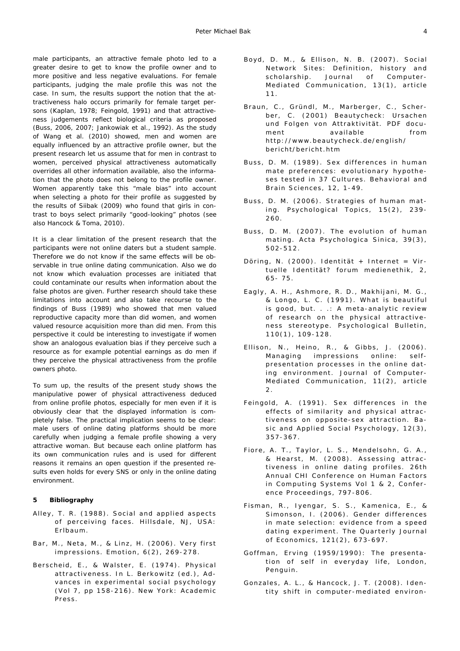male participants, an attractive female photo led to a greater desire to get to know the profile owner and to more positive and less negative evaluations. For female participants, judging the male profile this was not the case. In sum, the results support the notion that the attractiveness halo occurs primarily for female target persons (Kaplan, 1978; Feingold, 1991) and that attractiveness judgements reflect biological criteria as proposed (Buss, 2006, 2007; Jankowiak et al., 1992). As the study of Wang et al. (2010) showed, men and women are equally influenced by an attractive profile owner, but the present research let us assume that for men in contrast to women, perceived physical attractiveness automatically overrides all other information available, also the information that the photo does not belong to the profile owner. Women apparently take this "male bias" into account when selecting a photo for their profile as suggested by the results of Siibak (2009) who found that girls in contrast to boys select primarily "good-looking" photos (see also Hancock & Toma, 2010).

It is a clear limitation of the present research that the participants were not online daters but a student sample. Therefore we do not know if the same effects will be observable in true online dating communication. Also we do not know which evaluation processes are initiated that could contaminate our results when information about the false photos are given. Further research should take these limitations into account and also take recourse to the findings of Buss (1989) who showed that men valued reproductive capacity more than did women, and women valued resource acquisition more than did men. From this perspective it could be interesting to investigate if women show an analogous evaluation bias if they perceive such a resource as for example potential earnings as do men if they perceive the physical attractiveness from the profile owners photo.

To sum up, the results of the present study shows the manipulative power of physical attractiveness deduced from online profile photos, especially for men even if it is obviously clear that the displayed information is completely false. The practical implication seems to be clear: male users of online dating platforms should be more carefully when judging a female profile showing a very attractive woman. But because each online platform has its own communication rules and is used for different reasons it remains an open question if the presented results even holds for every SNS or only in the online dating environment.

#### **5 Bibliography**

- Alley, T. R. (1988). *Social and applied aspects of perceiving faces*. Hillsdale, NJ, USA: Erlbaum.
- Bar, M., Neta, M., & Linz, H. (2006). Very first impressions. *Emotion, 6(2)* , 269-278.
- Berscheid, E., & Walster, E. (1974). Physical attractiveness. In L. Berkowitz (ed.), *Advances in experimental social psychology* (Vol 7, pp 158-216). New York: Academic Press.
- Boyd, D. M., & Ellison, N. B. (2007). Social Network Sites: Definition, history and scholarship. *Journal of Computer-Mediated Communication, 13(1)*, article 11.
- Braun, C., Gründl, M., Marberger, C., Scherber, C. (2001) *Beautycheck: Ursachen und Folgen von Attraktivität*. PDF document available from http://www.beautycheck.de/english/ bericht/bericht.htm
- Buss, D. M. (1989). Sex differences in human mate preferences: evolutionary hypotheses tested in 37 Cultures. *Behavioral and Brain Sciences, 12*, 1-49.
- Buss, D. M. (2006). Strategies of human mating. Psychological Topics, 15(2), 239-260.
- Buss, D. M. (2007). The evolution of human mating. *Acta Psychologica Sinica, 39(3)* , 502-512.
- Döring, N. (2000). Identität + Internet = Virtuelle Identität? *forum medienethik, 2*, 65- 75.
- Eagly, A. H., Ashmore, R. D., Makhijani, M. G., & Longo, L. C. (1991). What is beautiful is good, but. . .: A meta-analytic review of research on the physical attractiveness stereotype. *Psychological Bulletin, 110(1)* , 109-128.
- Ellison, N., Heino, R., & Gibbs, J. (2006). Managing impressions online: selfpresentation processes in the online dating environment. *Journal of Computer-Mediated Communication, 11(2)*, article 2.
- Feingold, A. (1991). Sex differences in the effects of similarity and physical attractiveness on opposite-sex attraction. *Basic and Applied Social Psychology, 12(3)* , 357-367.
- Fiore, A. T., Taylor, L. S., Mendelsohn, G. A., & Hearst, M. (2008). Assessing attractiveness in online dating profiles. *26th Annual CHI Conference on Human Factors in Computing Systems Vol 1 & 2*, Conference Proceedings, 797-806.
- Fisman, R., Iyengar, S. S., Kamenica, E., & Simonson, I. (2006). Gender differences in mate selection: evidence from a speed dating experiment. *The Quarterly Journal of Economics, 121(2)* , 673-697.
- Goffman, Erving (1959/1990): *The presentation of self in everyday life*, London, Penguin.
- Gonzales, A. L., & Hancock, J. T. (2008). Identity shift in computer-mediated environ-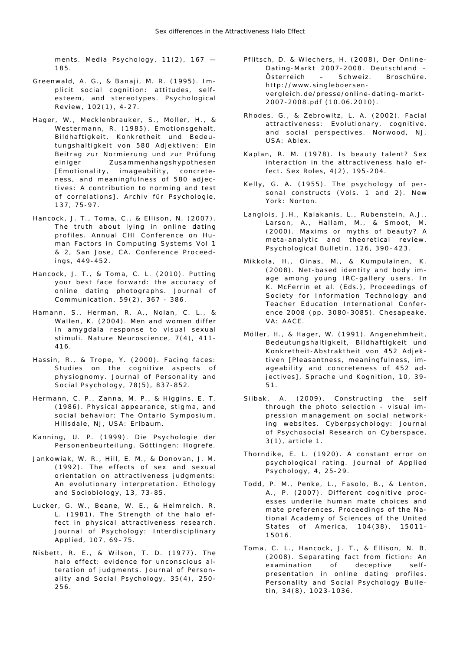ments. *Media Psychology*, 11(2), 167 -185.

- Greenwald, A. G., & Banaji, M. R. (1995). Implicit social cognition: attitudes, selfesteem, and stereotypes. *Psychological Review, 102(1)* , 4-27.
- Hager, W., Mecklenbrauker, S., Moller, H., & Westermann, R. (1985). Emotionsgehalt, Bildhaftigkeit, Konkretheit und Bedeutungshaltigkeit von 580 Adjektiven: Ein Beitrag zur Normierung und zur Prüfung einiger Zusammenhangshypothesen [Emotionality, imageability, concreteness, and meaningfulness of 580 adjectives: A contribution to norming and test of correlations]. *Archiv für Psychologie, 137*, 75-97.
- Hancock, J. T., Toma, C., & Ellison, N. (2007). The truth about lying in online dating profiles. *Annual CHI Conference on Human Factors in Computing Systems Vol 1 & 2*, San Jose, CA. Conference Proceedings, 449-452.
- Hancock, J. T., & Toma, C. L. (2010). Putting your best face forward: the accuracy of online dating photographs. *Journal of Communication, 59(2)* , 367 - 386.
- Hamann, S., Herman, R. A., Nolan, C. L., & Wallen, K. (2004). Men and women differ in amygdala response to visual sexual stimuli. *Nature Neuroscience*, 7(4), 411-416.
- Hassin, R., & Trope, Y. (2000). Facing faces: Studies on the cognitive aspects of physiognomy. *Journal of Personality and Social Psychology, 78(5)* , 837-852.
- Hermann, C. P., Zanna, M. P., & Higgins, E. T. (1986). *Physical appearance, stigma, and social behavior: The Ontario Symposium*. Hillsdale, NJ, USA: Erlbaum.
- Kanning, U. P. (1999). *Die Psychologie der Personenbeurteilung*. Göttingen: Hogrefe.
- Jankowiak, W. R., Hill, E. M., & Donovan, J. M. (1992). The effects of sex and sexual orientation on attractiveness judgments: An evolutionary interpretation. *Ethology and Sociobiology, 13*, 73-85.
- Lucker, G. W., Beane, W. E., & Helmreich, R. L. (1981). The Strength of the halo effect in physical attractiveness research. *Journal of Psychology: Interdisciplinary Applied, 107*, 69–75.
- Nisbett, R. E., & Wilson, T. D. (1977). The halo effect: evidence for unconscious alteration of judgments. *Journal of Personality and Social Psychology, 35(4)* , 250- 256.
- Pflitsch, D. & Wiechers, H. (2008), *Der Online-Dating-Markt 2007-2008. Deutschland – Österreich – Schweiz*. Broschüre. http://www.singleboersenvergleich.de/presse/online-dating-markt-2007-2008.pdf (10.06.2010).
- Rhodes, G., & Zebrowitz, L. A. (2002). *Facial attractiveness: Evolutionary, cognitive, and social perspectives*. Norwood, NJ, USA: Ablex.
- Kaplan, R. M. (1978). Is beauty talent? Sex interaction in the attractiveness halo effect. *Sex Roles*,  $4(2)$ , 195-204.
- Kelly, G. A. (1955). *The psychology of personal constructs* (Vols. 1 and 2). New York: Norton.
- Langlois, J.H., Kalakanis, L., Rubenstein, A.J., Larson, A., Hallam, M., & Smoot, M. (2000). Maxims or myths of beauty? A meta-analytic and theoretical review. *Psychological Bulletin, 126*, 390–423.
- Mikkola, H., Oinas, M., & Kumpulainen, K. (2008). Net-based identity and body image among young IRC-gallery users. In K. McFerrin et al. (Eds.), *Proceedings of Society for Information Technology and Teacher Education International Conference 2008* (pp. 3080-3085). Chesapeake, VA: AACE.
- Möller, H., & Hager, W. (1991). Angenehmheit, Bedeutungshaltigkeit, Bildhaftigkeit und Konkretheit-Abstraktheit von 452 Adjektiven [Pleasantness, meaningfulness, imageability and concreteness of 452 adjectives], *Sprache und Kognition, 10*, 39- 51.
- Siibak, A. (2009). Constructing the self through the photo selection - visual impression management on social networking websites. *Cyberpsychology: Journal of Psychosocial Research on Cyberspace, 3(1)* , article 1.
- Thorndike, E. L. (1920) . A constant error on psychological rating. *Journal of Applied Psychology, 4*, 25-29.
- Todd, P. M., Penke, L., Fasolo, B., & Lenton, A., P. (2007). Different cognitive processes underlie human mate choices and mate preferences. *Proceedings of the National Academy of Sciences of the United States of America, 104(38)* , 15011- 15016.
- Toma, C. L., Hancock, J. T., & Ellison, N. B. (2008). Separating fact from fiction: An examination of deceptive selfpresentation in online dating profiles. *Personality and Social Psychology Bulletin, 34(8)* , 1023-1036.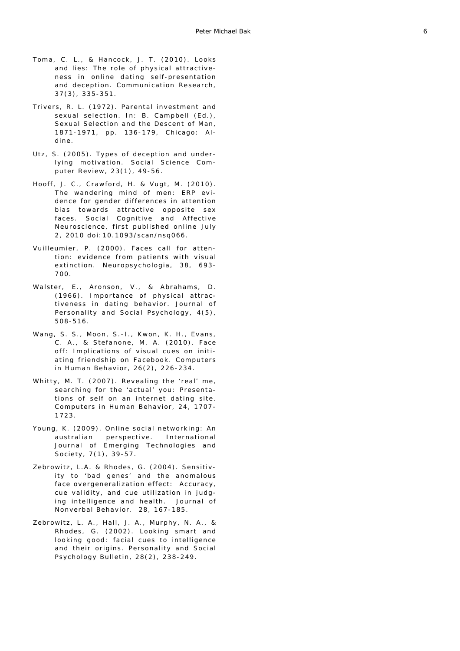- Toma, C. L., & Hancock, J. T. (2010). Looks and lies: The role of physical attractiveness in online dating self-presentation and deception. *Communication Research, 37(3)* , 335-351.
- Trivers, R. L. (1972). Parental investment and sexual selection. In: B. Campbell (Ed.), *Sexual Selection and the Descent of Man, 1871-1971*, pp. 136-179, Chicago: Aldine.
- Utz, S. (2005). Types of deception and underlying motivation. *Social Science Computer Review, 23(1)* , 49-56.
- Hooff, J. C., Crawford, H. & Vugt, M. (2010). The wandering mind of men: ERP evidence for gender differences in attention bias towards attractive opposite sex faces. *Social Cognitive and Affective Neuroscience, first published online July 2, 2010 doi:10.1093/scan/nsq066*.
- Vuilleumier, P. (2000). Faces call for attention: evidence from patients with visual extinction. *Neuropsychologia, 38*, 693- 700.
- Walster, E., Aronson, V., & Abrahams, D. (1966). Importance of physical attractiveness in dating behavior. Journal of *Personality and Social Psychology, 4(5)* , 508-516.
- Wang, S. S., Moon, S.-I., Kwon, K. H., Evans, C. A., & Stefanone, M. A. (2010). Face off: Implications of visual cues on initiating friendship on Facebook. *Computers in Human Behavior, 26(2)*, 226-234.
- Whitty, M. T. (2007). Revealing the 'real' me, searching for the 'actual' you: Presentations of self on an internet dating site. *Computers in Human Behavior, 24*, 1707- 1723.
- Young, K. (2009). Online social networking: An australian perspective. *International Journal of Emerging Technologies and Society, 7(1)* , 39-57.
- Zebrowitz, L.A. & Rhodes, G. (2004). Sensitivity to 'bad genes' and the anomalous face overgeneralization effect: Accuracy, cue validity, and cue utilization in judging intelligence and health. *Journal of Nonverbal Behavior. 28*, 167-185.
- Zebrowitz, L. A., Hall, J. A., Murphy, N. A., & Rhodes, G. (2002). Looking smart and looking good: facial cues to intelligence and their origins. *Personality and Social Psychology Bulletin, 28(2)* , 238-249.